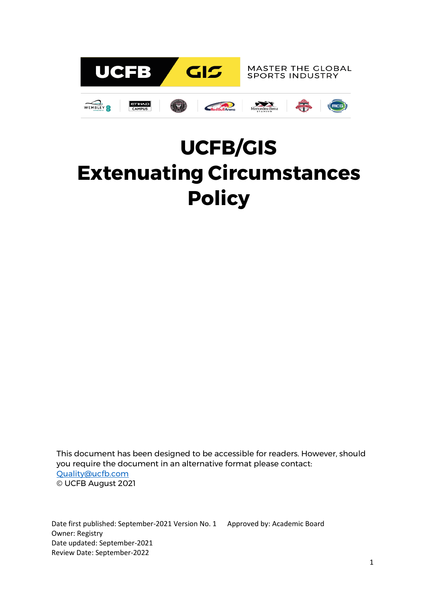

# **UCFB/GIS Extenuating Circumstances Policy**

This document has been designed to be accessible for readers. However, should you require the document in an alternative format please contact: [Quality@ucfb.com](mailto:Quality@ucfb.com) © UCFB August 2021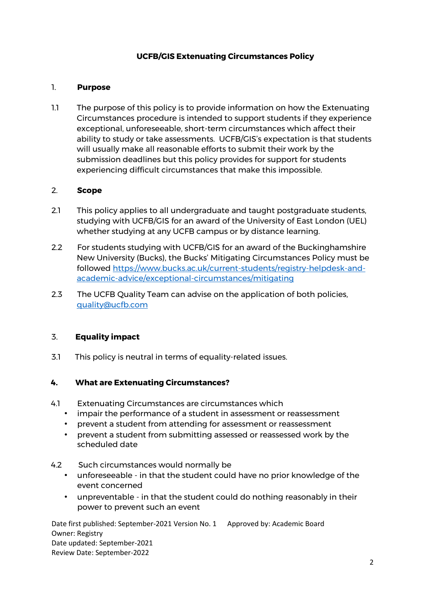# **UCFB/GIS Extenuating Circumstances Policy**

## 1. **Purpose**

1.1 The purpose of this policy is to provide information on how the Extenuating Circumstances procedure is intended to support students if they experience exceptional, unforeseeable, short-term circumstances which affect their ability to study or take assessments. UCFB/GIS's expectation is that students will usually make all reasonable efforts to submit their work by the submission deadlines but this policy provides for support for students experiencing difficult circumstances that make this impossible.

#### 2. **Scope**

- 2.1 This policy applies to all undergraduate and taught postgraduate students, studying with UCFB/GIS for an award of the University of East London (UEL) whether studying at any UCFB campus or by distance learning.
- 2.2 For students studying with UCFB/GIS for an award of the Buckinghamshire New University (Bucks), the Bucks' Mitigating Circumstances Policy must be followed [https://www.bucks.ac.uk/current-students/registry-helpdesk-and](https://www.bucks.ac.uk/current-students/registry-helpdesk-and-academic-advice/exceptional-circumstances/mitigating)[academic-advice/exceptional-circumstances/mitigating](https://www.bucks.ac.uk/current-students/registry-helpdesk-and-academic-advice/exceptional-circumstances/mitigating)
- 2.3 The UCFB Quality Team can advise on the application of both policies, [quality@ucfb.com](mailto:quaility@ucfb.com)

## 3. **Equality impact**

3.1 This policy is neutral in terms of equality-related issues.

#### **4. What are Extenuating Circumstances?**

- 4.1 Extenuating Circumstances are circumstances which
	- impair the performance of a student in assessment or reassessment
	- prevent a student from attending for assessment or reassessment
	- prevent a student from submitting assessed or reassessed work by the scheduled date
- 4.2 Such circumstances would normally be
	- unforeseeable in that the student could have no prior knowledge of the event concerned
	- unpreventable in that the student could do nothing reasonably in their power to prevent such an event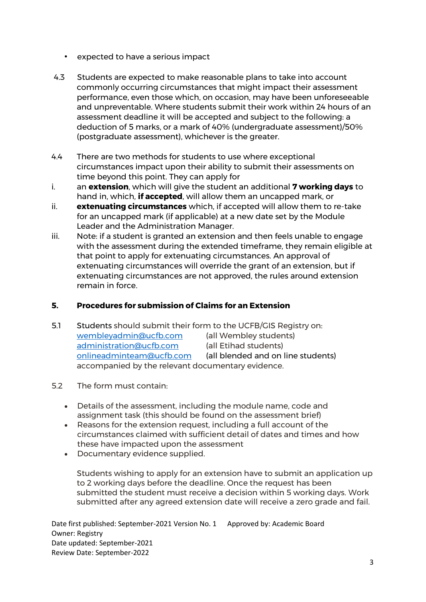- expected to have a serious impact
- 4.3 Students are expected to make reasonable plans to take into account commonly occurring circumstances that might impact their assessment performance, even those which, on occasion, may have been unforeseeable and unpreventable. Where students submit their work within 24 hours of an assessment deadline it will be accepted and subject to the following: a deduction of 5 marks, or a mark of 40% (undergraduate assessment)/50% (postgraduate assessment), whichever is the greater.
- 4.4 There are two methods for students to use where exceptional circumstances impact upon their ability to submit their assessments on time beyond this point. They can apply for
- i. an **extension**, which will give the student an additional **7 working days** to hand in, which, **if accepted**, will allow them an uncapped mark, or
- ii. **extenuating circumstances** which, if accepted will allow them to re-take for an uncapped mark (if applicable) at a new date set by the Module Leader and the Administration Manager.
- iii. Note: if a student is granted an extension and then feels unable to engage with the assessment during the extended timeframe, they remain eligible at that point to apply for extenuating circumstances. An approval of extenuating circumstances will override the grant of an extension, but if extenuating circumstances are not approved, the rules around extension remain in force.

## **5. Procedures for submission of Claims for an Extension**

5.1 Students should submit their form to the UCFB/GIS Registry on: [wembleyadmin@ucfb.com](mailto:wembleyadmin@ucfb.com) (all Wembley students) [administration@ucfb.com](mailto:administration@ucfb.com) (all Etihad students) [onlineadminteam@ucfb.com](mailto:onlineadminteam@ucfb.com) (all blended and on line students) accompanied by the relevant documentary evidence.

## 5.2 The form must contain:

- Details of the assessment, including the module name, code and assignment task (this should be found on the assessment brief)
- Reasons for the extension request, including a full account of the circumstances claimed with sufficient detail of dates and times and how these have impacted upon the assessment
- Documentary evidence supplied.

Students wishing to apply for an extension have to submit an application up to 2 working days before the deadline. Once the request has been submitted the student must receive a decision within 5 working days. Work submitted after any agreed extension date will receive a zero grade and fail.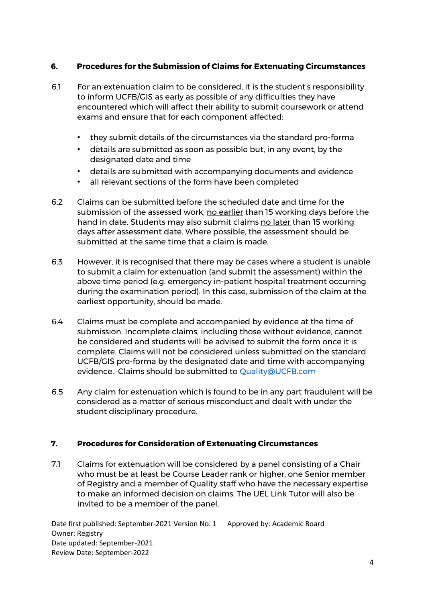# **6. Procedures for the Submission of Claims for Extenuating Circumstances**

- 6.1 For an extenuation claim to be considered, it is the student's responsibility to inform UCFB/GIS as early as possible of any difficulties they have encountered which will affect their ability to submit coursework or attend exams and ensure that for each component affected:
	- they submit details of the circumstances via the standard pro-forma
	- details are submitted as soon as possible but, in any event, by the designated date and time
	- details are submitted with accompanying documents and evidence
	- all relevant sections of the form have been completed
- 6.2 Claims can be submitted before the scheduled date and time for the submission of the assessed work, no earlier than 15 working days before the hand in date. Students may also submit claims no later than 15 working days after assessment date. Where possible, the assessment should be submitted at the same time that a claim is made.
- 6.3 However, it is recognised that there may be cases where a student is unable to submit a claim for extenuation (and submit the assessment) within the above time period (e.g. emergency in-patient hospital treatment occurring during the examination period). In this case, submission of the claim at the earliest opportunity, should be made.
- 6.4 Claims must be complete and accompanied by evidence at the time of submission. Incomplete claims, including those without evidence, cannot be considered and students will be advised to submit the form once it is complete. Claims will not be considered unless submitted on the standard UCFB/GIS pro-forma by the designated date and time with accompanying evidence. Claims should be submitted to [Quality@UCFB.com](mailto:Quality@UCFB.com)
- 6.5 Any claim for extenuation which is found to be in any part fraudulent will be considered as a matter of serious misconduct and dealt with under the student disciplinary procedure.

## **7. Procedures for Consideration of Extenuating Circumstances**

7.1 Claims for extenuation will be considered by a panel consisting of a Chair who must be at least be Course Leader rank or higher, one Senior member of Registry and a member of Quality staff who have the necessary expertise to make an informed decision on claims. The UEL Link Tutor will also be invited to be a member of the panel.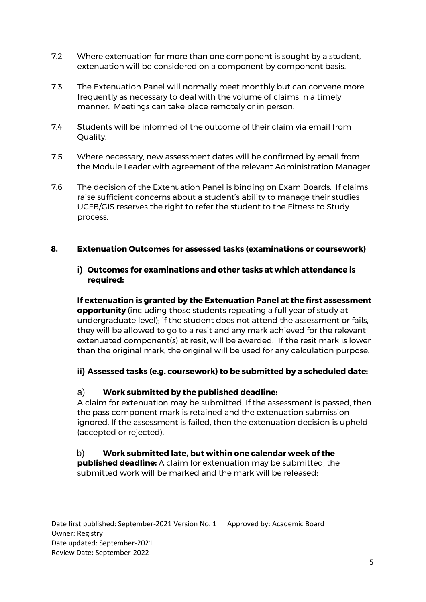- 7.2 Where extenuation for more than one component is sought by a student, extenuation will be considered on a component by component basis.
- 7.3 The Extenuation Panel will normally meet monthly but can convene more frequently as necessary to deal with the volume of claims in a timely manner. Meetings can take place remotely or in person.
- 7.4 Students will be informed of the outcome of their claim via email from Quality.
- 7.5 Where necessary, new assessment dates will be confirmed by email from the Module Leader with agreement of the relevant Administration Manager.
- 7.6 The decision of the Extenuation Panel is binding on Exam Boards. If claims raise sufficient concerns about a student's ability to manage their studies UCFB/GIS reserves the right to refer the student to the Fitness to Study process.

## **8. Extenuation Outcomes for assessed tasks (examinations or coursework)**

#### **i) Outcomes for examinations and other tasks at which attendance is required:**

**If extenuation is granted by the Extenuation Panel at the first assessment opportunity** (including those students repeating a full year of study at undergraduate level); if the student does not attend the assessment or fails, they will be allowed to go to a resit and any mark achieved for the relevant extenuated component(s) at resit, will be awarded. If the resit mark is lower than the original mark, the original will be used for any calculation purpose.

## **ii) Assessed tasks (e.g. coursework) to be submitted by a scheduled date:**

## a) **Work submitted by the published deadline:**

A claim for extenuation may be submitted. If the assessment is passed, then the pass component mark is retained and the extenuation submission ignored. If the assessment is failed, then the extenuation decision is upheld (accepted or rejected).

## b) **Work submitted late, but within one calendar week of the**

**published deadline:** A claim for extenuation may be submitted, the submitted work will be marked and the mark will be released;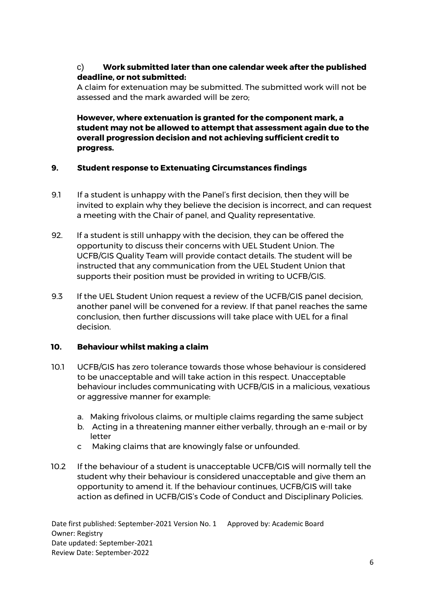# c) **Work submitted later than one calendar week after the published deadline, or not submitted:**

A claim for extenuation may be submitted. The submitted work will not be assessed and the mark awarded will be zero;

**However, where extenuation is granted for the component mark, a student may not be allowed to attempt that assessment again due to the overall progression decision and not achieving sufficient credit to progress.** 

## **9. Student response to Extenuating Circumstances findings**

- 9.1 If a student is unhappy with the Panel's first decision, then they will be invited to explain why they believe the decision is incorrect, and can request a meeting with the Chair of panel, and Quality representative.
- 92. If a student is still unhappy with the decision, they can be offered the opportunity to discuss their concerns with UEL Student Union. The UCFB/GIS Quality Team will provide contact details. The student will be instructed that any communication from the UEL Student Union that supports their position must be provided in writing to UCFB/GIS.
- 9.3 If the UEL Student Union request a review of the UCFB/GIS panel decision, another panel will be convened for a review. If that panel reaches the same conclusion, then further discussions will take place with UEL for a final decision.

# **10. Behaviour whilst making a claim**

- 10.1 UCFB/GIS has zero tolerance towards those whose behaviour is considered to be unacceptable and will take action in this respect. Unacceptable behaviour includes communicating with UCFB/GIS in a malicious, vexatious or aggressive manner for example:
	- a. Making frivolous claims, or multiple claims regarding the same subject
	- b. Acting in a threatening manner either verbally, through an e-mail or by letter
	- c Making claims that are knowingly false or unfounded.
- 10.2 If the behaviour of a student is unacceptable UCFB/GIS will normally tell the student why their behaviour is considered unacceptable and give them an opportunity to amend it. If the behaviour continues, UCFB/GIS will take action as defined in UCFB/GIS's Code of Conduct and Disciplinary Policies.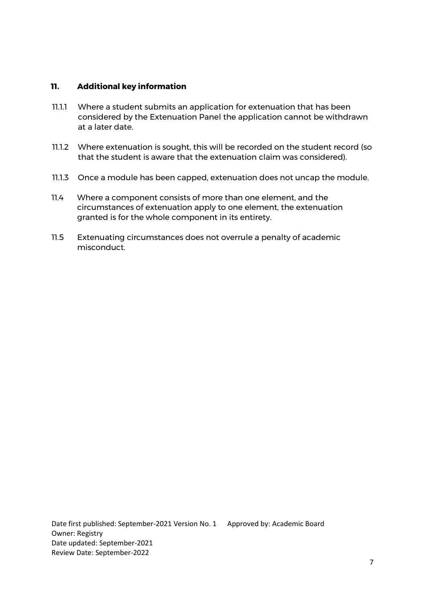#### **11. Additional key information**

- 11.1.1 Where a student submits an application for extenuation that has been considered by the Extenuation Panel the application cannot be withdrawn at a later date.
- 11.1.2 Where extenuation is sought, this will be recorded on the student record (so that the student is aware that the extenuation claim was considered).
- 11.1.3 Once a module has been capped, extenuation does not uncap the module.
- 11.4 Where a component consists of more than one element, and the circumstances of extenuation apply to one element, the extenuation granted is for the whole component in its entirety.
- 11.5 Extenuating circumstances does not overrule a penalty of academic misconduct.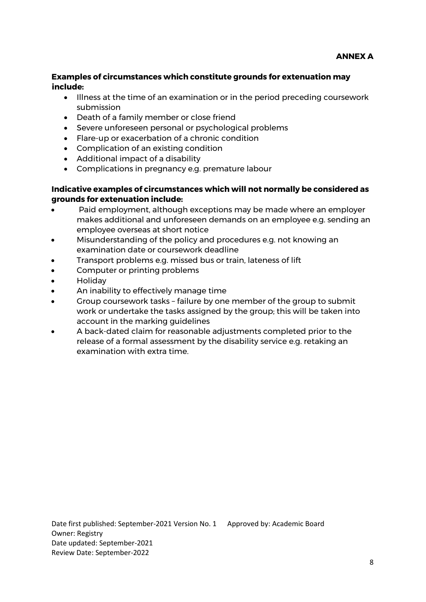#### **Examples of circumstances which constitute grounds for extenuation may include:**

- Illness at the time of an examination or in the period preceding coursework submission
- Death of a family member or close friend
- Severe unforeseen personal or psychological problems
- Flare-up or exacerbation of a chronic condition
- Complication of an existing condition
- Additional impact of a disability
- Complications in pregnancy e.g. premature labour

# **Indicative examples of circumstances which will not normally be considered as grounds for extenuation include:**

- Paid employment, although exceptions may be made where an employer makes additional and unforeseen demands on an employee e.g. sending an employee overseas at short notice
- Misunderstanding of the policy and procedures e.g. not knowing an examination date or coursework deadline
- Transport problems e.g. missed bus or train, lateness of lift
- Computer or printing problems
- Holiday
- An inability to effectively manage time
- Group coursework tasks failure by one member of the group to submit work or undertake the tasks assigned by the group; this will be taken into account in the marking guidelines
- A back-dated claim for reasonable adjustments completed prior to the release of a formal assessment by the disability service e.g. retaking an examination with extra time.